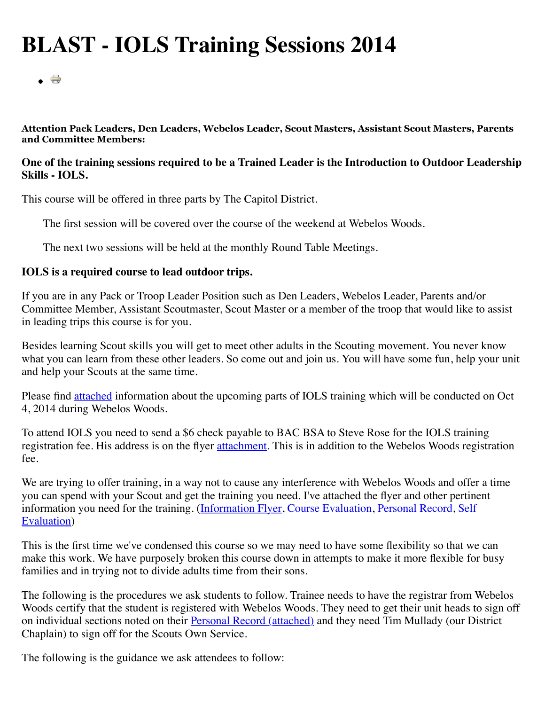## **BLAST - IOLS Training Sessions 2014**

 $\overline{\phantom{a}}$ 

**Attention Pack Leaders, Den Leaders, Webelos Leader, Scout Masters, Assistant Scout Masters, Parents and Committee Members:**

## **One of the training sessions required to be a Trained Leader is the Introduction to Outdoor Leadership Skills - IOLS.**

This course will be offered in three parts by The Capitol District.

The first session will be covered over the course of the weekend at Webelos Woods.

The next two sessions will be held at the monthly Round Table Meetings.

## **IOLS is a required course to lead outdoor trips.**

If you are in any Pack or Troop Leader Position such as Den Leaders, Webelos Leader, Parents and/or Committee Member, Assistant Scoutmaster, Scout Master or a member of the troop that would like to assist in leading trips this course is for you.

Besides learning Scout skills you will get to meet other adults in the Scouting movement. You never know what you can learn from these other leaders. So come out and join us. You will have some fun, help your unit and help your Scouts at the same time.

Please find [attached](http://www.thecapitoldistrict.org/images/training/2014_09_IOLS_Attach/iols%20schedule%202014.pdf) information about the upcoming parts of IOLS training which will be conducted on Oct 4, 2014 during Webelos Woods.

To attend IOLS you need to send a \$6 check payable to BAC BSA to Steve Rose for the IOLS training registration fee. His address is on the flyer [attachment.](http://www.thecapitoldistrict.org/images/training/2014_09_IOLS_Attach/iols%20schedule%202014.pdf) This is in addition to the Webelos Woods registration fee.

We are trying to offer training, in a way not to cause any interference with Webelos Woods and offer a time you can spend with your Scout and get the training you need. I've attached the flyer and other pertinent [information you need for the training. \(Information Flyer, Course Evaluation, Personal Record, Self](http://www.thecapitoldistrict.org/images/training/2014_09_IOLS_Attach/iols_self_eval.pdf) Evaluation)

This is the first time we've condensed this course so we may need to have some flexibility so that we can make this work. We have purposely broken this course down in attempts to make it more flexible for busy families and in trying not to divide adults time from their sons.

The following is the procedures we ask students to follow. Trainee needs to have the registrar from Webelos Woods certify that the student is registered with Webelos Woods. They need to get their unit heads to sign off on individual sections noted on their [Personal Record \(attached\)](http://www.thecapitoldistrict.org/images/training/2014_09_IOLS_Attach/iols_personal_record.pdf) and they need Tim Mullady (our District Chaplain) to sign off for the Scouts Own Service.

The following is the guidance we ask attendees to follow: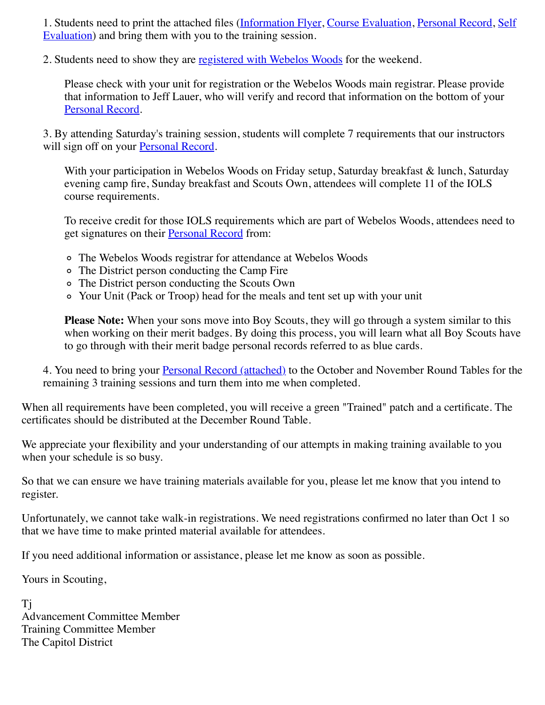[1. Students need to print the attached files \(](http://www.thecapitoldistrict.org/images/training/2014_09_IOLS_Attach/iols_self_eval.pdf)[Information Flyer](http://www.thecapitoldistrict.org/images/training/2014_09_IOLS_Attach/iols%20schedule%202014.pdf)[, C](http://www.thecapitoldistrict.org/images/training/2014_09_IOLS_Attach/iols_self_eval.pdf)[ourse Evaluation](http://www.thecapitoldistrict.org/images/training/2014_09_IOLS_Attach/iols_course_eval.pdf)[,](http://www.thecapitoldistrict.org/images/training/2014_09_IOLS_Attach/iols_self_eval.pdf) [Personal Recor](http://www.thecapitoldistrict.org/images/training/2014_09_IOLS_Attach/iols_personal_record.pdf)[d, Self](http://www.thecapitoldistrict.org/images/training/2014_09_IOLS_Attach/iols_self_eval.pdf) Evaluation) and bring them with you to the training session.

2. Students need to show they are [registered with Webelos Woods](http://www.baltimorebsa.org/event/1595081) for the weekend.

Please check with your unit for registration or the Webelos Woods main registrar. Please provide that information to Jeff Lauer, who will verify and record that information on the bottom of your [Personal Record.](http://www.thecapitoldistrict.org/images/training/2014_09_IOLS_Attach/iols_personal_record.pdf)

3. By attending Saturday's training session, students will complete 7 requirements that our instructors will sign off on your **Personal Record**.

With your participation in Webelos Woods on Friday setup, Saturday breakfast & lunch, Saturday evening camp fire, Sunday breakfast and Scouts Own, attendees will complete 11 of the IOLS course requirements.

To receive credit for those IOLS requirements which are part of Webelos Woods, attendees need to get signatures on their **Personal Record** from:

- The Webelos Woods registrar for attendance at Webelos Woods
- The District person conducting the Camp Fire
- The District person conducting the Scouts Own
- Your Unit (Pack or Troop) head for the meals and tent set up with your unit

**Please Note:** When your sons move into Boy Scouts, they will go through a system similar to this when working on their merit badges. By doing this process, you will learn what all Boy Scouts have to go through with their merit badge personal records referred to as blue cards.

4. You need to bring your **Personal Record** (attached) to the October and November Round Tables for the remaining 3 training sessions and turn them into me when completed.

When all requirements have been completed, you will receive a green "Trained" patch and a certificate. The certificates should be distributed at the December Round Table.

We appreciate your flexibility and your understanding of our attempts in making training available to you when your schedule is so busy.

So that we can ensure we have training materials available for you, please let me know that you intend to register.

Unfortunately, we cannot take walk-in registrations. We need registrations confirmed no later than Oct 1 so that we have time to make printed material available for attendees.

If you need additional information or assistance, please let me know as soon as possible.

Yours in Scouting,

Tj Advancement Committee Member Training Committee Member The Capitol District